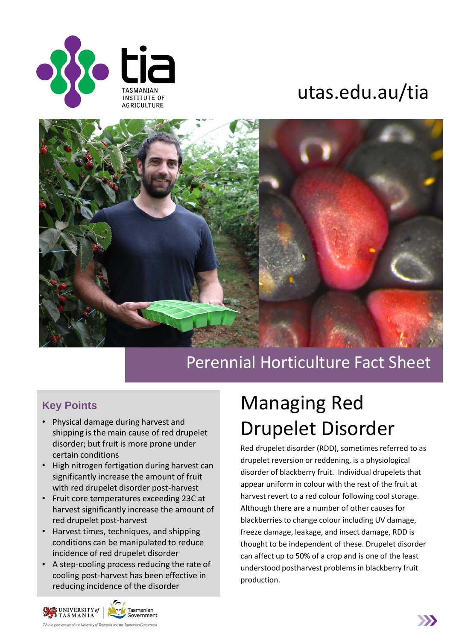

## utas.edu.au/tia



### Perennial Horticulture Fact Sheet

#### **Key Points**

- Physical damage during harvest and shipping is the main cause of red drupelet disorder; but fruit is more prone under certain conditions
- High nitrogen fertigation during harvest can significantly increase the amount of fruit with red drupelet disorder post-harvest
- Fruit core temperatures exceeding 23C at harvest significantly increase the amount of red drupelet post-harvest
- Harvest times, techniques, and shipping conditions can be manipulated to reduce incidence of red drupelet disorder
- A step-cooling process reducing the rate of cooling post-harvest has been effective in reducing incidence of the disorder

# Managing Red Drupelet Disorder

Red drupelet disorder (RDD), sometimes referred to as drupelet reversion or reddening, is a physiological disorder of blackberry fruit. Individual drupelets that appear uniform in colour with the rest of the fruit at harvest revert to a red colour following cool storage. Although there are a number of other causes for blackberries to change colour including UV damage, freeze damage, leakage, and insect damage, RDD is thought to be independent of these. Drupelet disorder can affect up to 50% of a crop and is one of the least understood postharvest problems in blackberry fruit production.